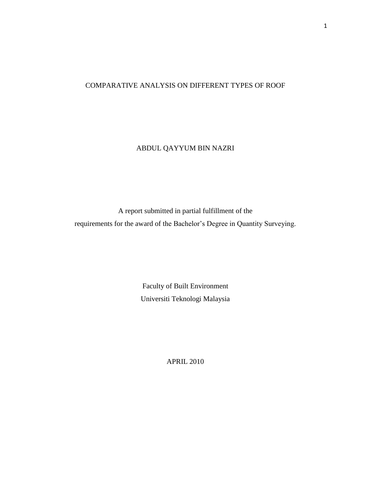## COMPARATIVE ANALYSIS ON DIFFERENT TYPES OF ROOF

## ABDUL QAYYUM BIN NAZRI

A report submitted in partial fulfillment of the requirements for the award of the Bachelor's Degree in Quantity Surveying.

> Faculty of Built Environment Universiti Teknologi Malaysia

> > APRIL 2010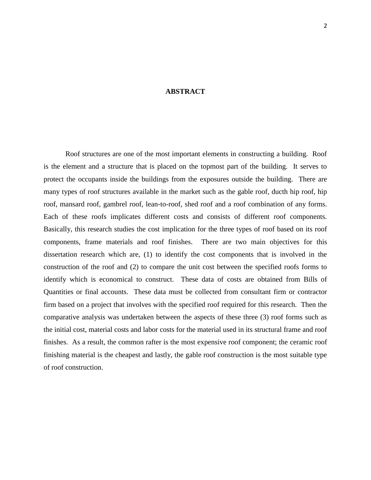## **ABSTRACT**

Roof structures are one of the most important elements in constructing a building. Roof is the element and a structure that is placed on the topmost part of the building. It serves to protect the occupants inside the buildings from the exposures outside the building. There are many types of roof structures available in the market such as the gable roof, ducth hip roof, hip roof, mansard roof, gambrel roof, lean-to-roof, shed roof and a roof combination of any forms. Each of these roofs implicates different costs and consists of different roof components. Basically, this research studies the cost implication for the three types of roof based on its roof components, frame materials and roof finishes. There are two main objectives for this dissertation research which are, (1) to identify the cost components that is involved in the construction of the roof and (2) to compare the unit cost between the specified roofs forms to identify which is economical to construct. These data of costs are obtained from Bills of Quantities or final accounts. These data must be collected from consultant firm or contractor firm based on a project that involves with the specified roof required for this research. Then the comparative analysis was undertaken between the aspects of these three (3) roof forms such as the initial cost, material costs and labor costs for the material used in its structural frame and roof finishes. As a result, the common rafter is the most expensive roof component; the ceramic roof finishing material is the cheapest and lastly, the gable roof construction is the most suitable type of roof construction.